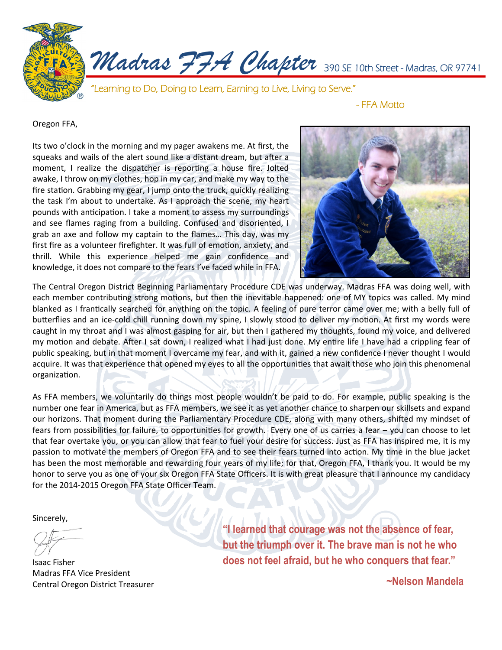

Oregon FFA,

Its two o'clock in the morning and my pager awakens me. At first, the squeaks and wails of the alert sound like a distant dream, but after a moment, I realize the dispatcher is reporting a house fire. Jolted awake, I throw on my clothes, hop in my car, and make my way to the fire station. Grabbing my gear, I jump onto the truck, quickly realizing the task I'm about to undertake. As I approach the scene, my heart pounds with anticipation. I take a moment to assess my surroundings and see flames raging from a building. Confused and disoriented, I grab an axe and follow my captain to the flames… This day, was my first fire as a volunteer firefighter. It was full of emotion, anxiety, and thrill. While this experience helped me gain confidence and knowledge, it does not compare to the fears I've faced while in FFA.



The Central Oregon District Beginning Parliamentary Procedure CDE was underway. Madras FFA was doing well, with each member contributing strong motions, but then the inevitable happened: one of MY topics was called. My mind blanked as I frantically searched for anything on the topic. A feeling of pure terror came over me; with a belly full of butterflies and an ice-cold chill running down my spine, I slowly stood to deliver my motion. At first my words were caught in my throat and I was almost gasping for air, but then I gathered my thoughts, found my voice, and delivered my motion and debate. After I sat down, I realized what I had just done. My entire life I have had a crippling fear of public speaking, but in that moment I overcame my fear, and with it, gained a new confidence I never thought I would acquire. It was that experience that opened my eyes to all the opportunities that await those who join this phenomenal organization.

As FFA members, we voluntarily do things most people wouldn't be paid to do. For example, public speaking is the number one fear in America, but as FFA members, we see it as yet another chance to sharpen our skillsets and expand our horizons. That moment during the Parliamentary Procedure CDE, along with many others, shifted my mindset of fears from possibilities for failure, to opportunities for growth. Every one of us carries a fear – you can choose to let that fear overtake you, or you can allow that fear to fuel your desire for success. Just as FFA has inspired me, it is my passion to motivate the members of Oregon FFA and to see their fears turned into action. My time in the blue jacket has been the most memorable and rewarding four years of my life; for that, Oregon FFA, I thank you. It would be my honor to serve you as one of your six Oregon FFA State Officers. It is with great pleasure that I announce my candidacy for the 2014-2015 Oregon FFA State Officer Team.

Sincerely,

Isaac Fisher Madras FFA Vice President Central Oregon District Treasurer

**"I learned that courage was not the absence of fear, but the triumph over it. The brave man is not he who does not feel afraid, but he who conquers that fear."**

**~Nelson Mandela**